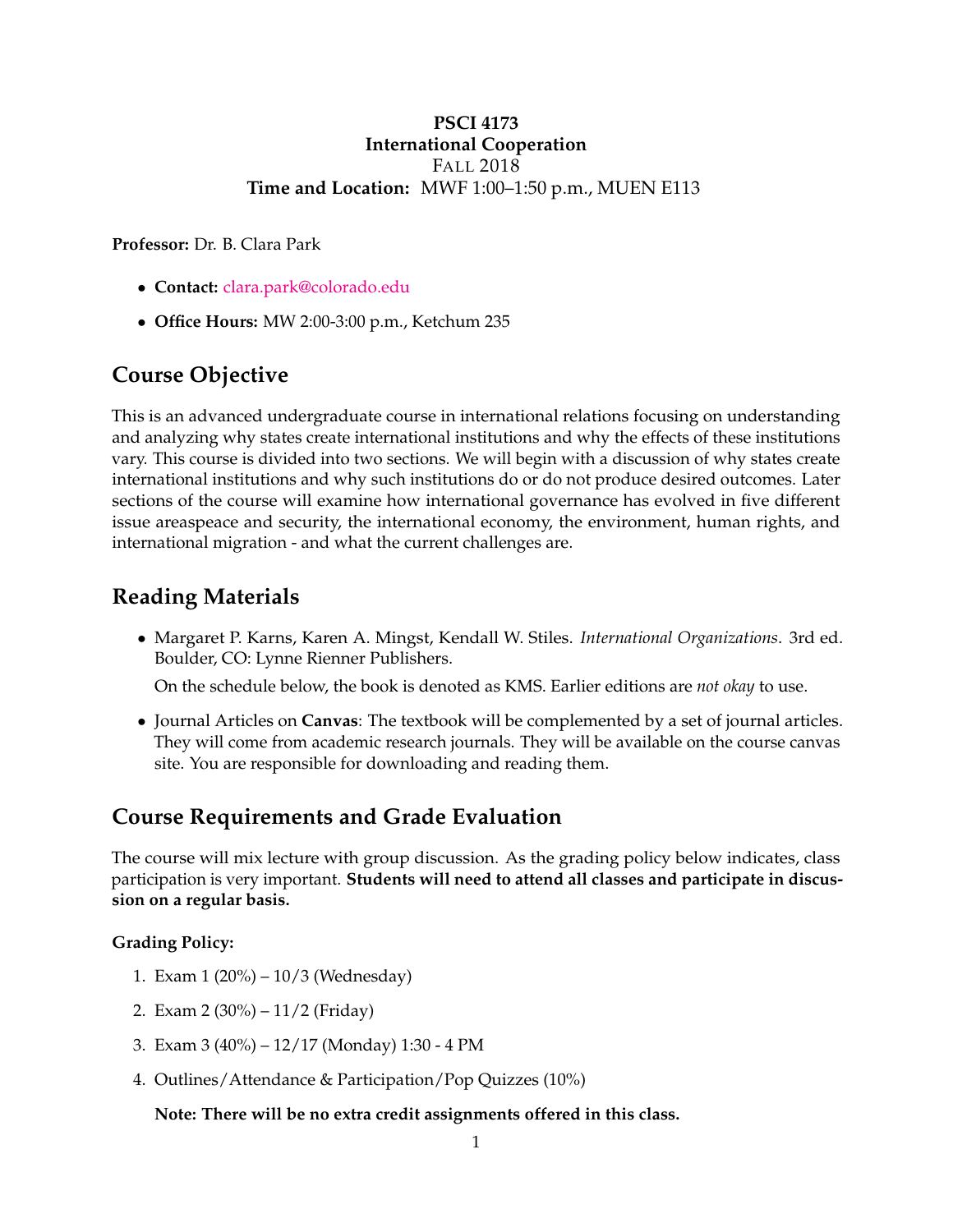### **PSCI 4173 International Cooperation** FALL 2018 **Time and Location:** MWF 1:00–1:50 p.m., MUEN E113

**Professor:** Dr. B. Clara Park

- **Contact:** [clara.park@colorado.edu](mailto:clara.park@colorado.edu)
- **Office Hours:** MW 2:00-3:00 p.m., Ketchum 235

## **Course Objective**

This is an advanced undergraduate course in international relations focusing on understanding and analyzing why states create international institutions and why the effects of these institutions vary. This course is divided into two sections. We will begin with a discussion of why states create international institutions and why such institutions do or do not produce desired outcomes. Later sections of the course will examine how international governance has evolved in five different issue areaspeace and security, the international economy, the environment, human rights, and international migration - and what the current challenges are.

## **Reading Materials**

• Margaret P. Karns, Karen A. Mingst, Kendall W. Stiles. *International Organizations*. 3rd ed. Boulder, CO: Lynne Rienner Publishers.

On the schedule below, the book is denoted as KMS. Earlier editions are *not okay* to use.

• Journal Articles on **Canvas**: The textbook will be complemented by a set of journal articles. They will come from academic research journals. They will be available on the course canvas site. You are responsible for downloading and reading them.

## **Course Requirements and Grade Evaluation**

The course will mix lecture with group discussion. As the grading policy below indicates, class participation is very important. **Students will need to attend all classes and participate in discussion on a regular basis.**

#### **Grading Policy:**

- 1. Exam 1 (20%) 10/3 (Wednesday)
- 2. Exam 2 (30%) 11/2 (Friday)
- 3. Exam 3 (40%) 12/17 (Monday) 1:30 4 PM
- 4. Outlines/Attendance & Participation/Pop Quizzes (10%)

### **Note: There will be no extra credit assignments offered in this class.**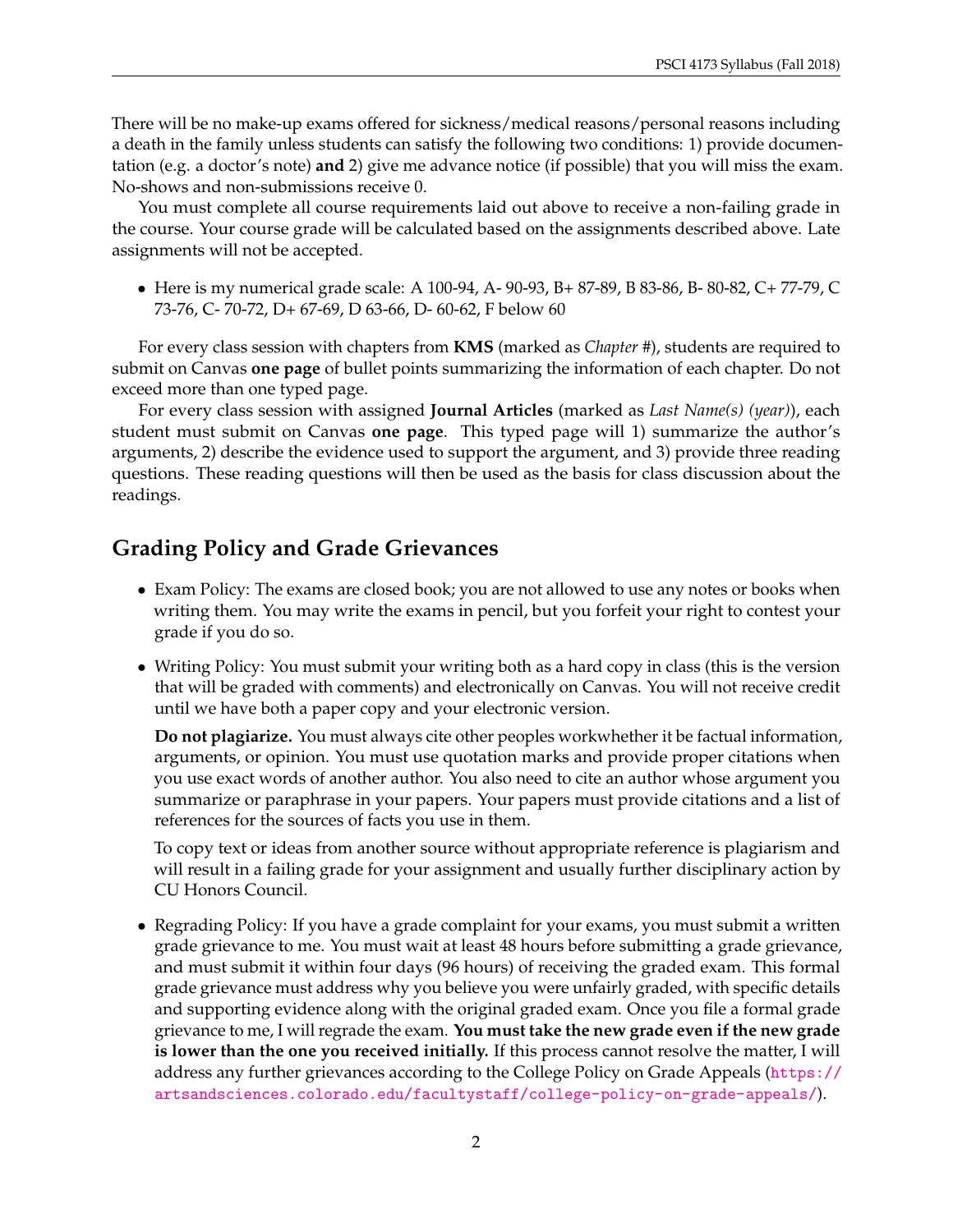There will be no make-up exams offered for sickness/medical reasons/personal reasons including a death in the family unless students can satisfy the following two conditions: 1) provide documentation (e.g. a doctor's note) **and** 2) give me advance notice (if possible) that you will miss the exam. No-shows and non-submissions receive 0.

You must complete all course requirements laid out above to receive a non-failing grade in the course. Your course grade will be calculated based on the assignments described above. Late assignments will not be accepted.

• Here is my numerical grade scale: A 100-94, A- 90-93, B+ 87-89, B 83-86, B- 80-82, C+ 77-79, C 73-76, C- 70-72, D+ 67-69, D 63-66, D- 60-62, F below 60

For every class session with chapters from **KMS** (marked as *Chapter #*), students are required to submit on Canvas **one page** of bullet points summarizing the information of each chapter. Do not exceed more than one typed page.

For every class session with assigned **Journal Articles** (marked as *Last Name(s) (year)*), each student must submit on Canvas **one page**. This typed page will 1) summarize the author's arguments, 2) describe the evidence used to support the argument, and 3) provide three reading questions. These reading questions will then be used as the basis for class discussion about the readings.

## **Grading Policy and Grade Grievances**

- Exam Policy: The exams are closed book; you are not allowed to use any notes or books when writing them. You may write the exams in pencil, but you forfeit your right to contest your grade if you do so.
- Writing Policy: You must submit your writing both as a hard copy in class (this is the version that will be graded with comments) and electronically on Canvas. You will not receive credit until we have both a paper copy and your electronic version.

**Do not plagiarize.** You must always cite other peoples workwhether it be factual information, arguments, or opinion. You must use quotation marks and provide proper citations when you use exact words of another author. You also need to cite an author whose argument you summarize or paraphrase in your papers. Your papers must provide citations and a list of references for the sources of facts you use in them.

To copy text or ideas from another source without appropriate reference is plagiarism and will result in a failing grade for your assignment and usually further disciplinary action by CU Honors Council.

• Regrading Policy: If you have a grade complaint for your exams, you must submit a written grade grievance to me. You must wait at least 48 hours before submitting a grade grievance, and must submit it within four days (96 hours) of receiving the graded exam. This formal grade grievance must address why you believe you were unfairly graded, with specific details and supporting evidence along with the original graded exam. Once you file a formal grade grievance to me, I will regrade the exam. **You must take the new grade even if the new grade is lower than the one you received initially.** If this process cannot resolve the matter, I will address any further grievances according to the College Policy on Grade Appeals ([https://](https://artsandsciences.colorado.edu/facultystaff/college-policy-on-grade-appeals/) [artsandsciences.colorado.edu/facultystaff/college-policy-on-grade-appeals/](https://artsandsciences.colorado.edu/facultystaff/college-policy-on-grade-appeals/)).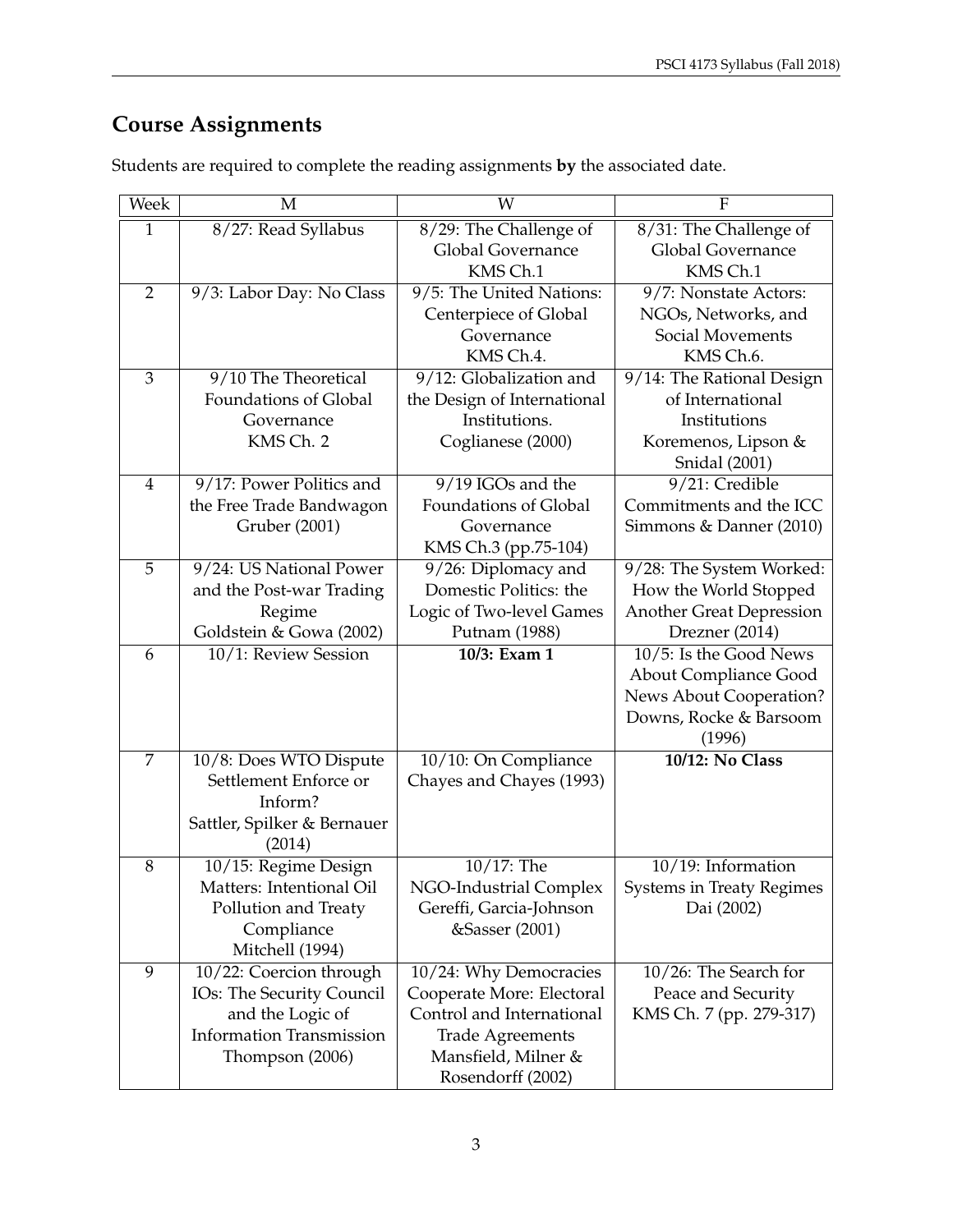# **Course Assignments**

| Week           | M                               | W                           | F                                |
|----------------|---------------------------------|-----------------------------|----------------------------------|
| $\mathbf{1}$   | 8/27: Read Syllabus             | 8/29: The Challenge of      | 8/31: The Challenge of           |
|                |                                 | Global Governance           | Global Governance                |
|                |                                 | KMS Ch.1                    | KMS Ch.1                         |
| $\overline{2}$ | 9/3: Labor Day: No Class        | 9/5: The United Nations:    | 9/7: Nonstate Actors:            |
|                |                                 | Centerpiece of Global       | NGOs, Networks, and              |
|                |                                 | Governance                  | Social Movements                 |
|                |                                 | KMS Ch.4.                   | KMS Ch.6.                        |
| 3              | 9/10 The Theoretical            | 9/12: Globalization and     | 9/14: The Rational Design        |
|                | Foundations of Global           | the Design of International | of International                 |
|                | Governance                      | Institutions.               | Institutions                     |
|                | KMS Ch. 2                       | Coglianese (2000)           | Koremenos, Lipson &              |
|                |                                 |                             | <b>Snidal</b> (2001)             |
| $\overline{4}$ | 9/17: Power Politics and        | 9/19 IGOs and the           | 9/21: Credible                   |
|                | the Free Trade Bandwagon        | Foundations of Global       | Commitments and the ICC          |
|                | Gruber (2001)                   | Governance                  | Simmons & Danner (2010)          |
|                |                                 | KMS Ch.3 (pp.75-104)        |                                  |
| 5              | 9/24: US National Power         | 9/26: Diplomacy and         | 9/28: The System Worked:         |
|                | and the Post-war Trading        | Domestic Politics: the      | How the World Stopped            |
|                | Regime                          | Logic of Two-level Games    | <b>Another Great Depression</b>  |
|                | Goldstein & Gowa (2002)         | Putnam (1988)               | Drezner (2014)                   |
| 6              | 10/1: Review Session            | 10/3: Exam 1                | 10/5: Is the Good News           |
|                |                                 |                             | <b>About Compliance Good</b>     |
|                |                                 |                             | News About Cooperation?          |
|                |                                 |                             | Downs, Rocke & Barsoom           |
|                |                                 |                             | (1996)                           |
| 7              | 10/8: Does WTO Dispute          | 10/10: On Compliance        | <b>10/12: No Class</b>           |
|                | Settlement Enforce or           | Chayes and Chayes (1993)    |                                  |
|                | Inform?                         |                             |                                  |
|                | Sattler, Spilker & Bernauer     |                             |                                  |
| 8              | (2014)<br>10/15: Regime Design  | $10/17$ : The               | 10/19: Information               |
|                | Matters: Intentional Oil        | NGO-Industrial Complex      | <b>Systems in Treaty Regimes</b> |
|                | Pollution and Treaty            | Gereffi, Garcia-Johnson     | Dai (2002)                       |
|                | Compliance                      | &Sasser (2001)              |                                  |
|                | Mitchell (1994)                 |                             |                                  |
| 9              | 10/22: Coercion through         | 10/24: Why Democracies      | 10/26: The Search for            |
|                | IOs: The Security Council       | Cooperate More: Electoral   | Peace and Security               |
|                | and the Logic of                | Control and International   | KMS Ch. 7 (pp. 279-317)          |
|                | <b>Information Transmission</b> | <b>Trade Agreements</b>     |                                  |
|                | Thompson (2006)                 | Mansfield, Milner &         |                                  |
|                |                                 | Rosendorff (2002)           |                                  |

Students are required to complete the reading assignments **by** the associated date.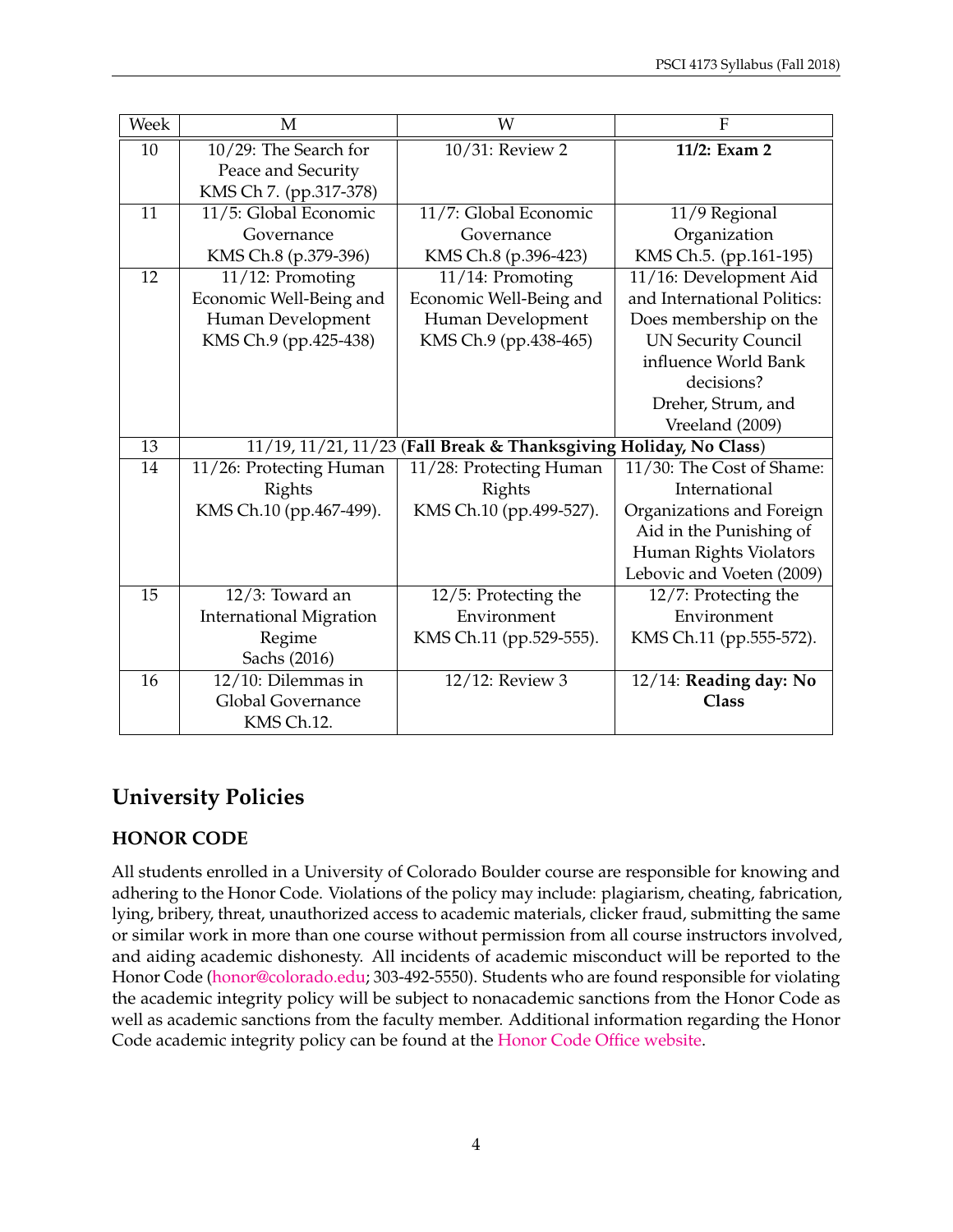| Week | M                                                                 | W                       | $\overline{F}$              |
|------|-------------------------------------------------------------------|-------------------------|-----------------------------|
| 10   | 10/29: The Search for                                             | 10/31: Review 2         | 11/2: Exam 2                |
|      | Peace and Security                                                |                         |                             |
|      | KMS Ch 7. (pp.317-378)                                            |                         |                             |
| 11   | 11/5: Global Economic                                             | 11/7: Global Economic   | 11/9 Regional               |
|      | Governance                                                        | Governance              | Organization                |
|      | KMS Ch.8 (p.379-396)                                              | KMS Ch.8 (p.396-423)    | KMS Ch.5. (pp.161-195)      |
| 12   | 11/12: Promoting                                                  | 11/14: Promoting        | 11/16: Development Aid      |
|      | Economic Well-Being and                                           | Economic Well-Being and | and International Politics: |
|      | Human Development                                                 | Human Development       | Does membership on the      |
|      | KMS Ch.9 (pp.425-438)                                             | KMS Ch.9 (pp.438-465)   | <b>UN Security Council</b>  |
|      |                                                                   |                         | influence World Bank        |
|      |                                                                   |                         | decisions?                  |
|      |                                                                   |                         | Dreher, Strum, and          |
|      |                                                                   |                         | Vreeland (2009)             |
| 13   | 11/19, 11/21, 11/23 (Fall Break & Thanksgiving Holiday, No Class) |                         |                             |
| 14   | 11/26: Protecting Human                                           | 11/28: Protecting Human | 11/30: The Cost of Shame:   |
|      | Rights                                                            | Rights                  | International               |
|      | KMS Ch.10 (pp.467-499).                                           | KMS Ch.10 (pp.499-527). | Organizations and Foreign   |
|      |                                                                   |                         | Aid in the Punishing of     |
|      |                                                                   |                         | Human Rights Violators      |
|      |                                                                   |                         | Lebovic and Voeten (2009)   |
| 15   | $12/3$ : Toward an                                                | 12/5: Protecting the    | 12/7: Protecting the        |
|      | <b>International Migration</b>                                    | Environment             | Environment                 |
|      | Regime                                                            | KMS Ch.11 (pp.529-555). | KMS Ch.11 (pp.555-572).     |
|      | Sachs (2016)                                                      |                         |                             |
| 16   | $12/10$ : Dilemmas in                                             | 12/12: Review 3         | 12/14: Reading day: No      |
|      | Global Governance                                                 |                         | Class                       |
|      | KMS Ch.12.                                                        |                         |                             |

# **University Policies**

## **HONOR CODE**

All students enrolled in a University of Colorado Boulder course are responsible for knowing and adhering to the Honor Code. Violations of the policy may include: plagiarism, cheating, fabrication, lying, bribery, threat, unauthorized access to academic materials, clicker fraud, submitting the same or similar work in more than one course without permission from all course instructors involved, and aiding academic dishonesty. All incidents of academic misconduct will be reported to the Honor Code [\(honor@colorado.edu;](mailto:honor@colorado.edu) 303-492-5550). Students who are found responsible for violating the academic integrity policy will be subject to nonacademic sanctions from the Honor Code as well as academic sanctions from the faculty member. Additional information regarding the Honor Code academic integrity policy can be found at the [Honor Code Office website.](https://www.colorado.edu/osccr/honor-code)